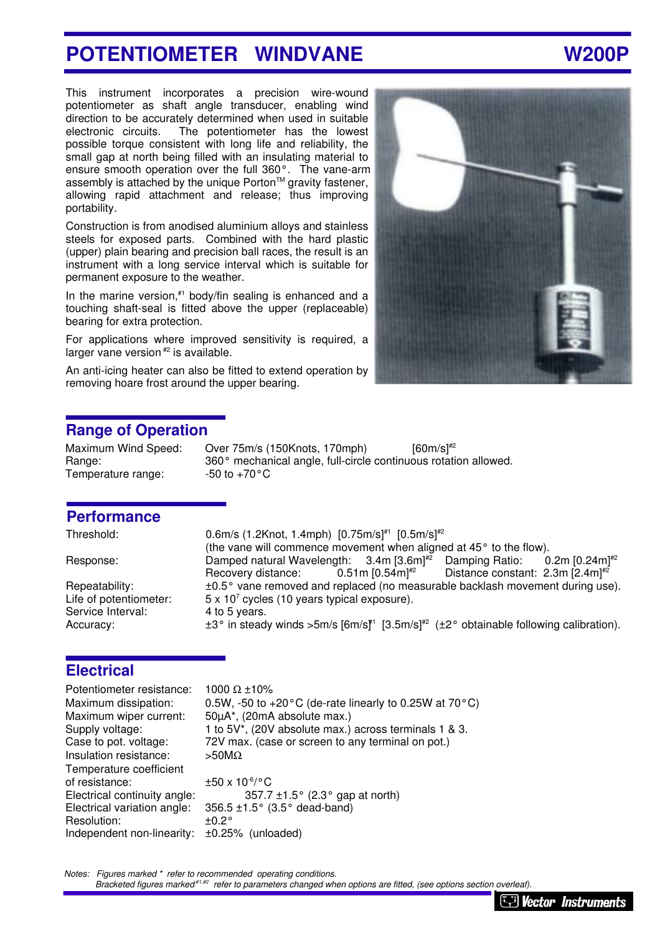# POTENTIOMETER WINDVANE W200P

This instrument incorporates a precision wire-wound potentiometer as shaft angle transducer, enabling wind direction to be accurately determined when used in suitable electronic circuits. The potentiometer has the lowest possible torque consistent with long life and reliability, the small gap at north being filled with an insulating material to ensure smooth operation over the full 360°. The vane-arm assembly is attached by the unique Porton™ gravity fastener, allowing rapid attachment and release; thus improving portability.

Construction is from anodised aluminium alloys and stainless steels for exposed parts. Combined with the hard plastic (upper) plain bearing and precision ball races, the result is an instrument with a long service interval which is suitable for permanent exposure to the weather.

In the marine version, $*1$  body/fin sealing is enhanced and a touching shaft-seal is fitted above the upper (replaceable) bearing for extra protection.

For applications where improved sensitivity is required, a larger vane version<sup>#2</sup> is available.

An anti-icing heater can also be fitted to extend operation by removing hoare frost around the upper bearing.



### **Range of Operation**

Temperature range:  $-50$  to  $+70^{\circ}$ C

Maximum Wind Speed: Over 75m/s (150Knots, 170mph) [60m/s]<sup>#2</sup> Range: 360° mechanical angle, full-circle continuous rotation allowed.

### **Performance**

Life of potentiometer: Service Interval: 4 to 5 years.

Threshold: 0.6m/s (1.2Knot, 1.4mph) [0.75m/s]#1 [0.5m/s]#2 (the vane will commence movement when aligned at 45° to the flow). Response: Damped natural Wavelength: 3.4m [3.6m]<sup>#2</sup> Damping Ratio: 0.2m [0.24m]<sup>#2</sup><br>Recovery distance: 0.51m [0.54m]<sup>#2</sup> Distance constant: 2.3m [2.4m]<sup>#2</sup> Recovery distance:  $0.51 \text{ m} [0.54 \text{ m}]^{\#2}$  Distance constant: 2.3m  $[2.4 \text{ m}]^{\#2}$ Repeatability:  $\pm 0.5^{\circ}$  vane removed and replaced (no measurable backlash movement during use).  $5 \times 10^7$  cycles (10 years typical exposure). Accuracy:  $\pm 3^\circ$  in steady winds  $>5$ m/s [6m/s]<sup>#1</sup> [3.5m/s]<sup>#2</sup> ( $\pm 2^\circ$  obtainable following calibration).

### **Electrical**

Potentiometer resistance: 1000 Ω ±10% Maximum dissipation:  $0.5W - 50$  to  $+20^{\circ}$ C (de-rate linearly to 0.25W at 70 $^{\circ}$ C) Maximum wiper current: 50µA\*, (20mA absolute max.) Supply voltage: 1 to 5V<sup>\*</sup>, (20V absolute max.) across terminals 1 & 3. Case to pot. voltage: 72V max. (case or screen to any terminal on pot.) Insulation resistance: >50MΩ Temperature coefficient of resistance:  $\pm 50 \times 10^{-6}$  °C Electrical continuity angle:  $357.7 \pm 1.5^{\circ}$  (2.3° gap at north) Electrical variation angle:  $356.5 \pm 1.5^{\circ}$  (3.5° dead-band)<br>Resolution:  $\pm 0.2^{\circ}$ Resolution: Independent non-linearity: ±0.25% (unloaded)

*Notes: Figures marked \* refer to recommended operating conditions.*

 *Bracketed figures marked #1,#2 refer to parameters changed when options are fitted, (see options section overleaf).*